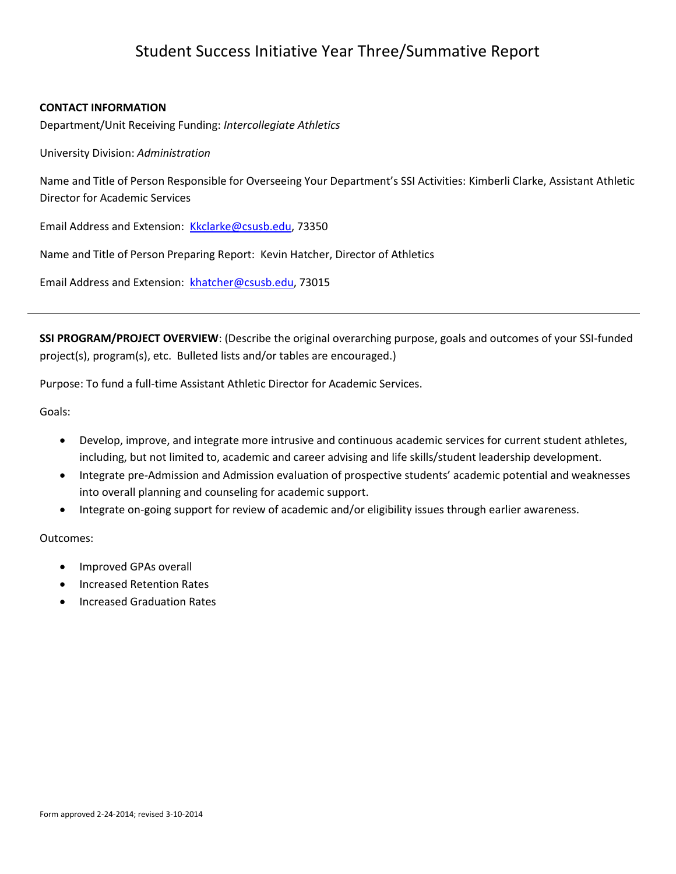# Student Success Initiative Year Three/Summative Report

#### **CONTACT INFORMATION**

Department/Unit Receiving Funding: *Intercollegiate Athletics*

University Division: *Administration*

Name and Title of Person Responsible for Overseeing Your Department's SSI Activities: Kimberli Clarke, Assistant Athletic Director for Academic Services

Email Address and Extension: [Kkclarke@csusb.edu,](mailto:Kkclarke@csusb.edu) 73350

Name and Title of Person Preparing Report: Kevin Hatcher, Director of Athletics

Email Address and Extension: [khatcher@csusb.edu,](mailto:khatcher@csusb.edu) 73015

**SSI PROGRAM/PROJECT OVERVIEW**: (Describe the original overarching purpose, goals and outcomes of your SSI-funded project(s), program(s), etc. Bulleted lists and/or tables are encouraged.)

Purpose: To fund a full-time Assistant Athletic Director for Academic Services.

Goals:

- Develop, improve, and integrate more intrusive and continuous academic services for current student athletes, including, but not limited to, academic and career advising and life skills/student leadership development.
- Integrate pre-Admission and Admission evaluation of prospective students' academic potential and weaknesses into overall planning and counseling for academic support.
- Integrate on-going support for review of academic and/or eligibility issues through earlier awareness.

Outcomes:

- Improved GPAs overall
- Increased Retention Rates
- Increased Graduation Rates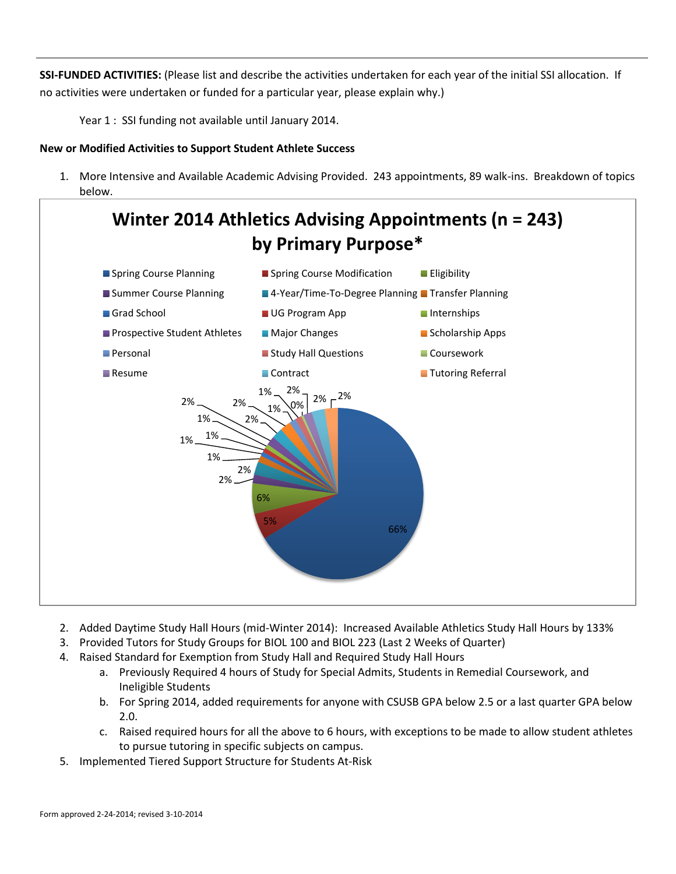**SSI-FUNDED ACTIVITIES:** (Please list and describe the activities undertaken for each year of the initial SSI allocation. If no activities were undertaken or funded for a particular year, please explain why.)

Year 1 : SSI funding not available until January 2014.

## **New or Modified Activities to Support Student Athlete Success**

1. More Intensive and Available Academic Advising Provided. 243 appointments, 89 walk-ins. Breakdown of topics below.



- 2. Added Daytime Study Hall Hours (mid-Winter 2014): Increased Available Athletics Study Hall Hours by 133%
- 3. Provided Tutors for Study Groups for BIOL 100 and BIOL 223 (Last 2 Weeks of Quarter)
- 4. Raised Standard for Exemption from Study Hall and Required Study Hall Hours
	- a. Previously Required 4 hours of Study for Special Admits, Students in Remedial Coursework, and Ineligible Students
	- b. For Spring 2014, added requirements for anyone with CSUSB GPA below 2.5 or a last quarter GPA below 2.0.
	- c. Raised required hours for all the above to 6 hours, with exceptions to be made to allow student athletes to pursue tutoring in specific subjects on campus.
- 5. Implemented Tiered Support Structure for Students At-Risk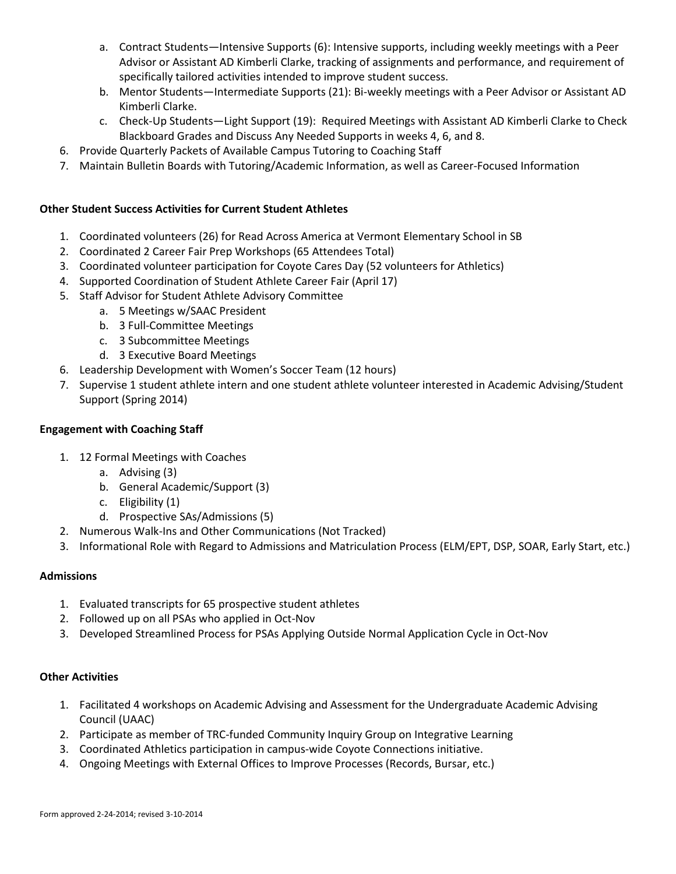- a. Contract Students—Intensive Supports (6): Intensive supports, including weekly meetings with a Peer Advisor or Assistant AD Kimberli Clarke, tracking of assignments and performance, and requirement of specifically tailored activities intended to improve student success.
- b. Mentor Students—Intermediate Supports (21): Bi-weekly meetings with a Peer Advisor or Assistant AD Kimberli Clarke.
- c. Check-Up Students—Light Support (19): Required Meetings with Assistant AD Kimberli Clarke to Check Blackboard Grades and Discuss Any Needed Supports in weeks 4, 6, and 8.
- 6. Provide Quarterly Packets of Available Campus Tutoring to Coaching Staff
- 7. Maintain Bulletin Boards with Tutoring/Academic Information, as well as Career-Focused Information

# **Other Student Success Activities for Current Student Athletes**

- 1. Coordinated volunteers (26) for Read Across America at Vermont Elementary School in SB
- 2. Coordinated 2 Career Fair Prep Workshops (65 Attendees Total)
- 3. Coordinated volunteer participation for Coyote Cares Day (52 volunteers for Athletics)
- 4. Supported Coordination of Student Athlete Career Fair (April 17)
- 5. Staff Advisor for Student Athlete Advisory Committee
	- a. 5 Meetings w/SAAC President
	- b. 3 Full-Committee Meetings
	- c. 3 Subcommittee Meetings
	- d. 3 Executive Board Meetings
- 6. Leadership Development with Women's Soccer Team (12 hours)
- 7. Supervise 1 student athlete intern and one student athlete volunteer interested in Academic Advising/Student Support (Spring 2014)

# **Engagement with Coaching Staff**

- 1. 12 Formal Meetings with Coaches
	- a. Advising (3)
	- b. General Academic/Support (3)
	- c. Eligibility (1)
	- d. Prospective SAs/Admissions (5)
- 2. Numerous Walk-Ins and Other Communications (Not Tracked)
- 3. Informational Role with Regard to Admissions and Matriculation Process (ELM/EPT, DSP, SOAR, Early Start, etc.)

## **Admissions**

- 1. Evaluated transcripts for 65 prospective student athletes
- 2. Followed up on all PSAs who applied in Oct-Nov
- 3. Developed Streamlined Process for PSAs Applying Outside Normal Application Cycle in Oct-Nov

## **Other Activities**

- 1. Facilitated 4 workshops on Academic Advising and Assessment for the Undergraduate Academic Advising Council (UAAC)
- 2. Participate as member of TRC-funded Community Inquiry Group on Integrative Learning
- 3. Coordinated Athletics participation in campus-wide Coyote Connections initiative.
- 4. Ongoing Meetings with External Offices to Improve Processes (Records, Bursar, etc.)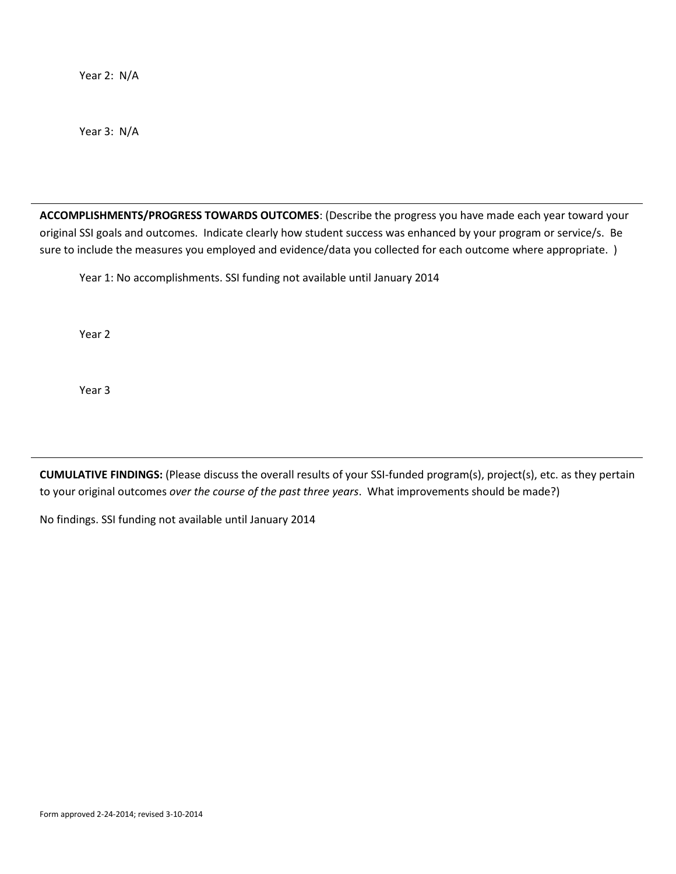Year 2: N/A

Year 3: N/A

**ACCOMPLISHMENTS/PROGRESS TOWARDS OUTCOMES**: (Describe the progress you have made each year toward your original SSI goals and outcomes. Indicate clearly how student success was enhanced by your program or service/s. Be sure to include the measures you employed and evidence/data you collected for each outcome where appropriate. )

Year 1: No accomplishments. SSI funding not available until January 2014

Year 2

Year 3

**CUMULATIVE FINDINGS:** (Please discuss the overall results of your SSI-funded program(s), project(s), etc. as they pertain to your original outcomes *over the course of the past three years*. What improvements should be made?)

No findings. SSI funding not available until January 2014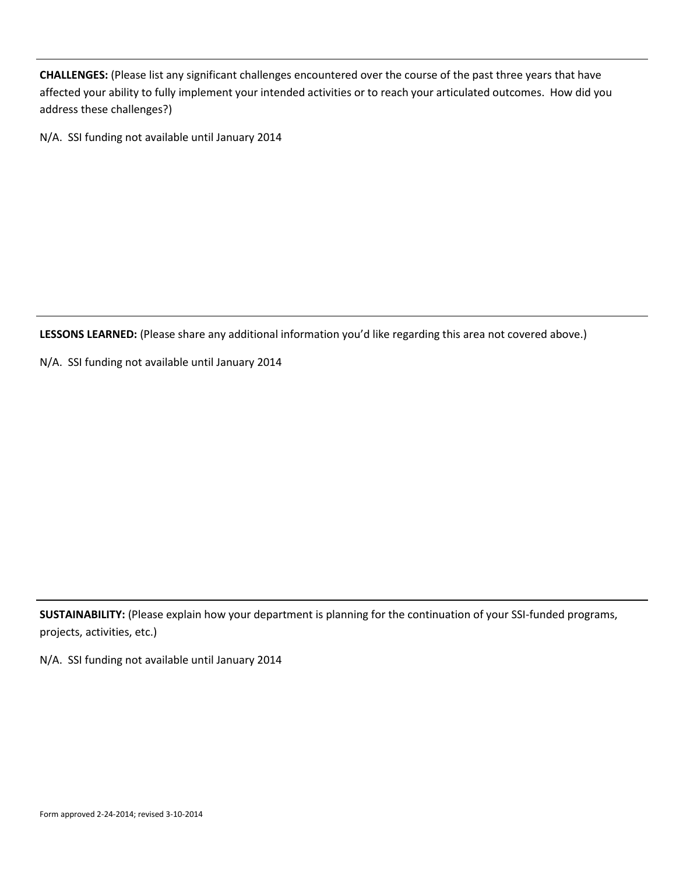**CHALLENGES:** (Please list any significant challenges encountered over the course of the past three years that have affected your ability to fully implement your intended activities or to reach your articulated outcomes. How did you address these challenges?)

N/A. SSI funding not available until January 2014

**LESSONS LEARNED:** (Please share any additional information you'd like regarding this area not covered above.)

N/A. SSI funding not available until January 2014

**SUSTAINABILITY:** (Please explain how your department is planning for the continuation of your SSI-funded programs, projects, activities, etc.)

N/A. SSI funding not available until January 2014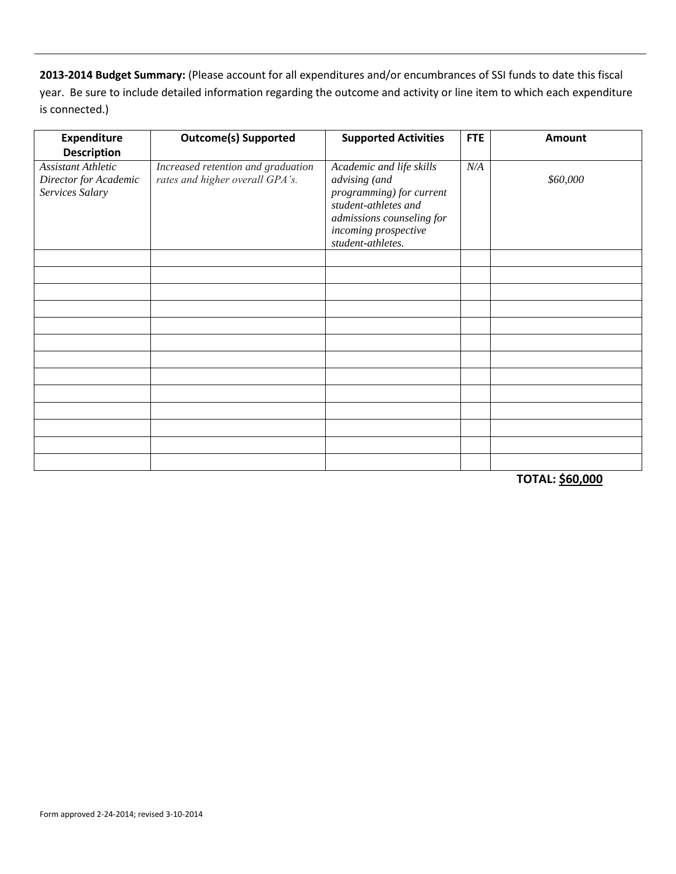**2013-2014 Budget Summary:** (Please account for all expenditures and/or encumbrances of SSI funds to date this fiscal year. Be sure to include detailed information regarding the outcome and activity or line item to which each expenditure is connected.)

| <b>Expenditure</b><br><b>Description</b>                              | <b>Outcome(s) Supported</b>                                           | <b>Supported Activities</b>                                                                                                                                             | <b>FTE</b> | <b>Amount</b> |
|-----------------------------------------------------------------------|-----------------------------------------------------------------------|-------------------------------------------------------------------------------------------------------------------------------------------------------------------------|------------|---------------|
| <b>Assistant Athletic</b><br>Director for Academic<br>Services Salary | Increased retention and graduation<br>rates and higher overall GPA's. | Academic and life skills<br>advising (and<br>programming) for current<br>student-athletes and<br>admissions counseling for<br>incoming prospective<br>student-athletes. | N/A        | \$60,000      |
|                                                                       |                                                                       |                                                                                                                                                                         |            |               |
|                                                                       |                                                                       |                                                                                                                                                                         |            |               |
|                                                                       |                                                                       |                                                                                                                                                                         |            |               |
|                                                                       |                                                                       |                                                                                                                                                                         |            |               |
|                                                                       |                                                                       |                                                                                                                                                                         |            |               |
|                                                                       |                                                                       |                                                                                                                                                                         |            |               |
|                                                                       |                                                                       |                                                                                                                                                                         |            |               |
|                                                                       |                                                                       |                                                                                                                                                                         |            |               |
|                                                                       |                                                                       |                                                                                                                                                                         |            |               |
|                                                                       |                                                                       |                                                                                                                                                                         |            |               |
|                                                                       |                                                                       |                                                                                                                                                                         |            |               |
|                                                                       |                                                                       |                                                                                                                                                                         |            |               |

**TOTAL: \$60,000**